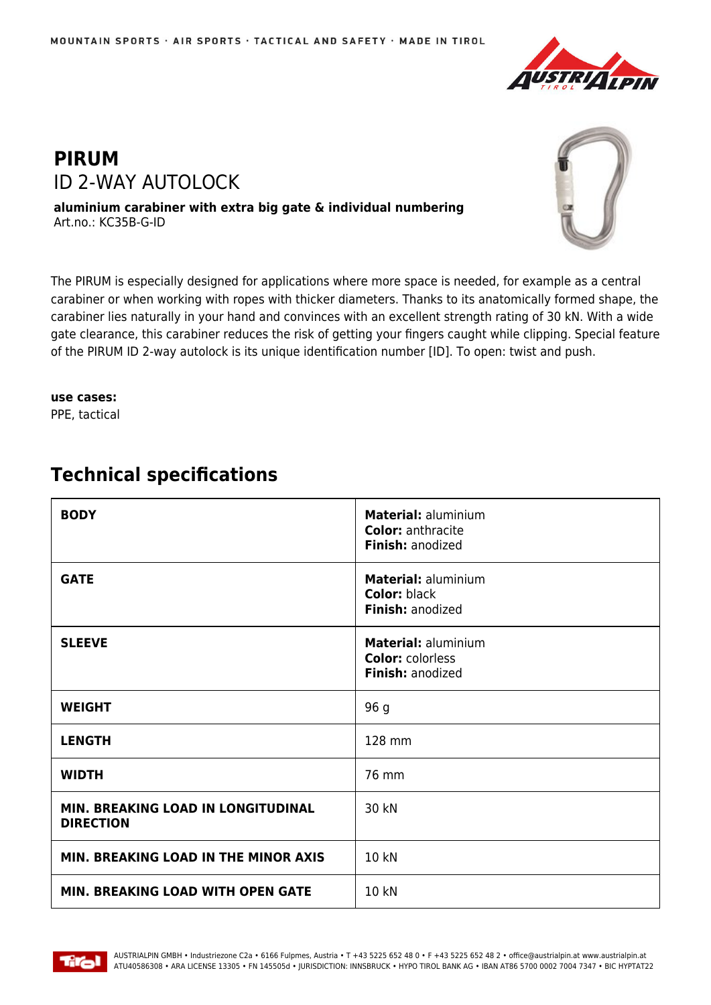

## **PIRUM** ID 2-WAY AUTOLOCK

**aluminium carabiner with extra big gate & individual numbering** Art.no.: KC35B-G-ID



The PIRUM is especially designed for applications where more space is needed, for example as a central carabiner or when working with ropes with thicker diameters. Thanks to its anatomically formed shape, the carabiner lies naturally in your hand and convinces with an excellent strength rating of 30 kN. With a wide gate clearance, this carabiner reduces the risk of getting your fingers caught while clipping. Special feature of the PIRUM ID 2-way autolock is its unique identification number [ID]. To open: twist and push.

## **use cases:**

PPE, tactical

## **BODY Material:** aluminium **Color:** anthracite **Finish:** anodized **GATE Material:** aluminium **Color:** black **Finish:** anodized **SLEEVE Material:** aluminium **Color:** colorless **Finish:** anodized **WEIGHT** 96 g **LENGTH** 128 mm **WIDTH** 76 mm **MIN. BREAKING LOAD IN LONGITUDINAL DIRECTION** 30 kN **MIN. BREAKING LOAD IN THE MINOR AXIS 10 KN MIN. BREAKING LOAD WITH OPEN GATE | 10 kN**

## **Technical specifications**